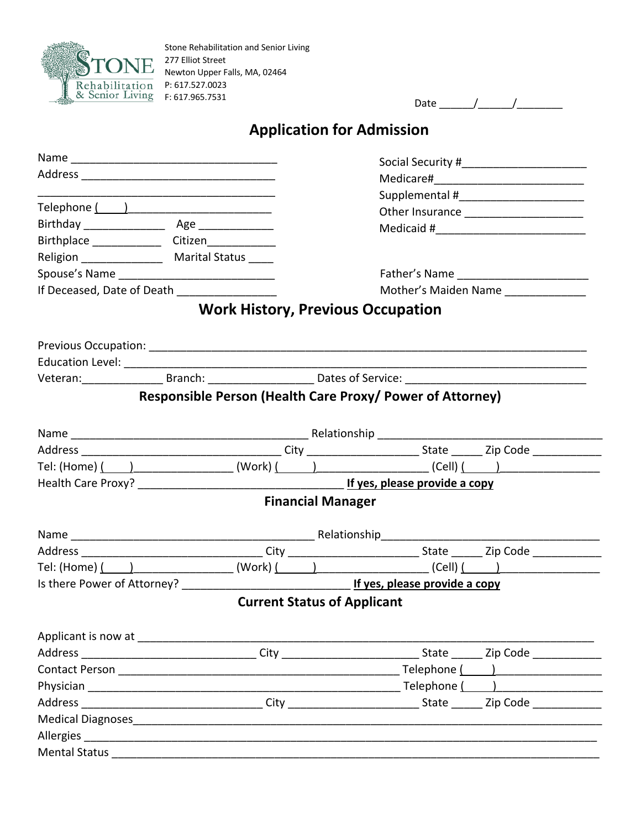

| $   -$ |  |
|--------|--|
|        |  |

## **Application for Admission**

|                                                                                                                                                                                                                             |                                                           |                                    |  | Other Insurance _______________________ |
|-----------------------------------------------------------------------------------------------------------------------------------------------------------------------------------------------------------------------------|-----------------------------------------------------------|------------------------------------|--|-----------------------------------------|
|                                                                                                                                                                                                                             |                                                           |                                    |  |                                         |
| Birthplace _________________ Citizen______________                                                                                                                                                                          |                                                           |                                    |  |                                         |
| Religion _________________ Marital Status _____                                                                                                                                                                             |                                                           |                                    |  |                                         |
|                                                                                                                                                                                                                             |                                                           |                                    |  |                                         |
| If Deceased, Date of Death                                                                                                                                                                                                  |                                                           |                                    |  | Mother's Maiden Name                    |
|                                                                                                                                                                                                                             | <b>Work History, Previous Occupation</b>                  |                                    |  |                                         |
|                                                                                                                                                                                                                             |                                                           |                                    |  |                                         |
|                                                                                                                                                                                                                             |                                                           |                                    |  |                                         |
| Veteran: _____________________Branch: _________________________Dates of Service: ______________________________                                                                                                             |                                                           |                                    |  |                                         |
|                                                                                                                                                                                                                             | Responsible Person (Health Care Proxy/ Power of Attorney) |                                    |  |                                         |
|                                                                                                                                                                                                                             |                                                           |                                    |  |                                         |
|                                                                                                                                                                                                                             |                                                           |                                    |  |                                         |
| Tel: (Home) $($ $)$ $)$ $($ $)$ $($ $)$ $($ $)$ $)$ $($ $)$ $($ $)$ $($ $)$ $($ $)$ $($ $)$ $($ $)$ $($ $)$ $($ $)$ $($ $)$ $($ $)$ $($ $)$ $($ $)$ $($ $)$ $($ $)$ $($ $)$ $($ $)$ $($ $)$ $($ $)$ $($ $)$ $($ $)$ $($ $)$ |                                                           |                                    |  |                                         |
|                                                                                                                                                                                                                             |                                                           |                                    |  |                                         |
|                                                                                                                                                                                                                             |                                                           | <b>Financial Manager</b>           |  |                                         |
|                                                                                                                                                                                                                             |                                                           |                                    |  |                                         |
|                                                                                                                                                                                                                             |                                                           |                                    |  |                                         |
| Tel: (Home) $\left(\begin{array}{c c} 1 & 1 \end{array}\right)$ (Work) $\left(\begin{array}{c c} 1 & 1 \end{array}\right)$ (Cell) $\left(\begin{array}{c c} 1 & 1 \end{array}\right)$                                       |                                                           |                                    |  |                                         |
|                                                                                                                                                                                                                             |                                                           |                                    |  |                                         |
|                                                                                                                                                                                                                             |                                                           | <b>Current Status of Applicant</b> |  |                                         |
|                                                                                                                                                                                                                             |                                                           |                                    |  |                                         |
|                                                                                                                                                                                                                             |                                                           |                                    |  |                                         |
|                                                                                                                                                                                                                             |                                                           |                                    |  |                                         |
|                                                                                                                                                                                                                             |                                                           |                                    |  |                                         |
|                                                                                                                                                                                                                             |                                                           |                                    |  |                                         |
|                                                                                                                                                                                                                             |                                                           |                                    |  |                                         |
|                                                                                                                                                                                                                             |                                                           |                                    |  |                                         |
|                                                                                                                                                                                                                             |                                                           |                                    |  |                                         |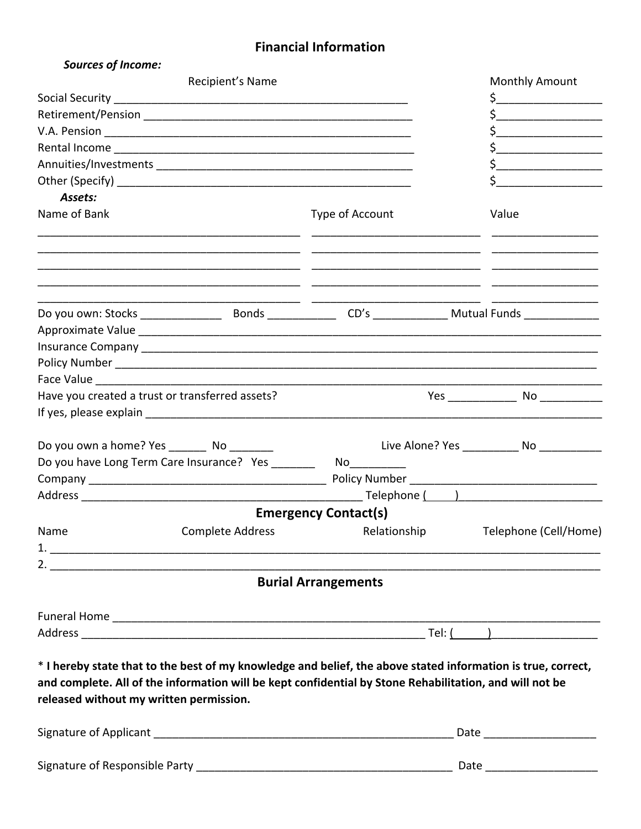## **Financial Information**

| <b>Sources of Income:</b>                       |                                                                                                                                                                                                                         |                                                                                                                                                                                                                                |  |                                                                                                                                                                                                                                |  |
|-------------------------------------------------|-------------------------------------------------------------------------------------------------------------------------------------------------------------------------------------------------------------------------|--------------------------------------------------------------------------------------------------------------------------------------------------------------------------------------------------------------------------------|--|--------------------------------------------------------------------------------------------------------------------------------------------------------------------------------------------------------------------------------|--|
| Recipient's Name                                |                                                                                                                                                                                                                         |                                                                                                                                                                                                                                |  | Monthly Amount                                                                                                                                                                                                                 |  |
|                                                 |                                                                                                                                                                                                                         |                                                                                                                                                                                                                                |  | $\frac{1}{2}$                                                                                                                                                                                                                  |  |
|                                                 |                                                                                                                                                                                                                         |                                                                                                                                                                                                                                |  | $\frac{1}{2}$                                                                                                                                                                                                                  |  |
|                                                 |                                                                                                                                                                                                                         |                                                                                                                                                                                                                                |  | \$                                                                                                                                                                                                                             |  |
|                                                 |                                                                                                                                                                                                                         |                                                                                                                                                                                                                                |  | \$                                                                                                                                                                                                                             |  |
|                                                 |                                                                                                                                                                                                                         |                                                                                                                                                                                                                                |  | $\frac{1}{2}$                                                                                                                                                                                                                  |  |
|                                                 |                                                                                                                                                                                                                         |                                                                                                                                                                                                                                |  |                                                                                                                                                                                                                                |  |
| Assets:                                         |                                                                                                                                                                                                                         |                                                                                                                                                                                                                                |  |                                                                                                                                                                                                                                |  |
| Name of Bank                                    |                                                                                                                                                                                                                         | Type of Account                                                                                                                                                                                                                |  | Value                                                                                                                                                                                                                          |  |
|                                                 |                                                                                                                                                                                                                         |                                                                                                                                                                                                                                |  |                                                                                                                                                                                                                                |  |
|                                                 |                                                                                                                                                                                                                         |                                                                                                                                                                                                                                |  |                                                                                                                                                                                                                                |  |
|                                                 |                                                                                                                                                                                                                         |                                                                                                                                                                                                                                |  |                                                                                                                                                                                                                                |  |
|                                                 |                                                                                                                                                                                                                         |                                                                                                                                                                                                                                |  |                                                                                                                                                                                                                                |  |
|                                                 |                                                                                                                                                                                                                         |                                                                                                                                                                                                                                |  |                                                                                                                                                                                                                                |  |
|                                                 |                                                                                                                                                                                                                         |                                                                                                                                                                                                                                |  |                                                                                                                                                                                                                                |  |
| Have you created a trust or transferred assets? |                                                                                                                                                                                                                         |                                                                                                                                                                                                                                |  |                                                                                                                                                                                                                                |  |
| Do you own a home? Yes _________ No ________    |                                                                                                                                                                                                                         |                                                                                                                                                                                                                                |  | Live Alone? Yes No                                                                                                                                                                                                             |  |
|                                                 | Do you have Long Term Care Insurance? Yes _______                                                                                                                                                                       | No provide a provide a provide a provide a provide a provide a provide a provide a provide a provide a provide a provide a provide a provide a provide a provide a provide a provide a provide a provide a provide a provide a |  |                                                                                                                                                                                                                                |  |
|                                                 |                                                                                                                                                                                                                         |                                                                                                                                                                                                                                |  |                                                                                                                                                                                                                                |  |
|                                                 |                                                                                                                                                                                                                         |                                                                                                                                                                                                                                |  | Telephone ( The Theorem 1999) and the set of the set of the set of the set of the set of the set of the set of the set of the set of the set of the set of the set of the set of the set of the set of the set of the set of t |  |
|                                                 |                                                                                                                                                                                                                         | <b>Emergency Contact(s)</b>                                                                                                                                                                                                    |  |                                                                                                                                                                                                                                |  |
| Name                                            | Complete Address                                                                                                                                                                                                        | Relationship                                                                                                                                                                                                                   |  | Telephone (Cell/Home)                                                                                                                                                                                                          |  |
|                                                 |                                                                                                                                                                                                                         |                                                                                                                                                                                                                                |  |                                                                                                                                                                                                                                |  |
|                                                 |                                                                                                                                                                                                                         | <b>Burial Arrangements</b>                                                                                                                                                                                                     |  |                                                                                                                                                                                                                                |  |
|                                                 |                                                                                                                                                                                                                         |                                                                                                                                                                                                                                |  |                                                                                                                                                                                                                                |  |
|                                                 |                                                                                                                                                                                                                         |                                                                                                                                                                                                                                |  |                                                                                                                                                                                                                                |  |
| released without my written permission.         | * I hereby state that to the best of my knowledge and belief, the above stated information is true, correct,<br>and complete. All of the information will be kept confidential by Stone Rehabilitation, and will not be |                                                                                                                                                                                                                                |  |                                                                                                                                                                                                                                |  |
|                                                 |                                                                                                                                                                                                                         |                                                                                                                                                                                                                                |  | Date ______________________                                                                                                                                                                                                    |  |
|                                                 |                                                                                                                                                                                                                         |                                                                                                                                                                                                                                |  | Date <u>____________</u>                                                                                                                                                                                                       |  |